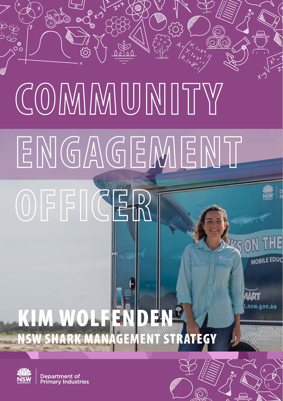# ്റ **COMMUNITY ENGAGEMENT OFFICERE EDUC** nsw.gov.au KIM WOLFENDEN

NSW SHARK MANAGEMENT STRATEGY



Department of Bepartment of<br>Primary Industries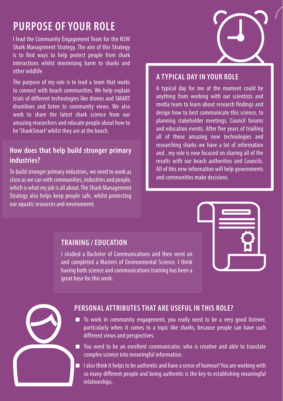# **PURPOSE OF YOUR ROLE**

I lead the Community Engagement Team for the NSW Shark Management Strategy. The aim of this Strategy is to find ways to help protect people from shark interactions whilst minimising harm to sharks and other wildlife.

The purpose of my role is to lead a team that works to connect with beach communities. We help explain trials of different technologies like drones and SMART drumlines and listen to community views. We also work to share the latest shark science from our amazing researchers and educate people about how to be 'SharkSmart' whilst they are at the beach.

## **How does that help build stronger primary industries?**

To build stronger primary industries, we need to work as close as we can with communities, industries and people, which is what my job is all about. The Shark Management Strategy also helps keep people safe, whilst protecting our aquatic resources and environment.



#### **A TYPICAL DAY IN YOUR ROLE**

A typical day for me at the moment could be anything from working with our scientists and media team to learn about research findings and design how to best communicate this science, to planning stakeholder meetings, Council forums and education events. After five years of trialling all of these amazing new technologies and researching sharks we have a lot of information and , my role is now focused on sharing all of the results with our beach authorities and Councils. All of this new information will help governments and communities make decisions.



### **TRAINING / EDUCATION**

I studied a Bachelor of Communications and then went on and completed a Masters of Environmental Science. I think having both science and communications training has been a great base for this work.



#### **PERSONAL ATTRIBUTES THAT ARE USEFUL IN THIS ROLE?**

- To work in community engagement, you really need to be a very good listener, particularly when it comes to a topic like sharks, because people can have such different views and perspectives.
- You need to be an excellent communicator, who is creative and able to translate complex science into meaningful information.
- $\blacksquare$  I also think it helps to be authentic and have a sense of humour! You are working with so many different people and being authentic is the key to establishing meaningful relationships.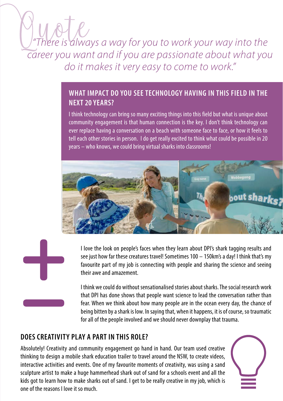# *"There is always a way for you to work your way into the career you want and if you are passionate about what you do it makes it very easy to come to work."*

# **WHAT IMPACT DO YOU SEE TECHNOLOGY HAVING IN THIS FIELD IN THE NEXT 20 YEARS?**

I think technology can bring so many exciting things into this field but what is unique about community engagement is that human connection is the key. I don't think technology can ever replace having a conversation on a beach with someone face to face, or how it feels to tell each other stories in person. I do get really excited to think what could be possible in 20 years – who knows, we could bring virtual sharks into classrooms!





I think we could do without sensationalised stories about sharks. The social research work that DPI has done shows that people want science to lead the conversation rather than fear. When we think about how many people are in the ocean every day, the chance of being bitten by a shark is low. In saying that, when it happens, it is of course, so traumatic for all of the people involved and we should never downplay that trauma.

# **DOES CREATIVITY PLAY A PART IN THIS ROLE?**

Absolutely! Creativity and community engagement go hand in hand. Our team used creative thinking to design a mobile shark education trailer to travel around the NSW, to create videos, interactive activities and events. One of my favourite moments of creativity, was using a sand sculpture artist to make a huge hammerhead shark out of sand for a schools event and all the kids got to learn how to make sharks out of sand. I get to be really creative in my job, which is one of the reasons I love it so much.